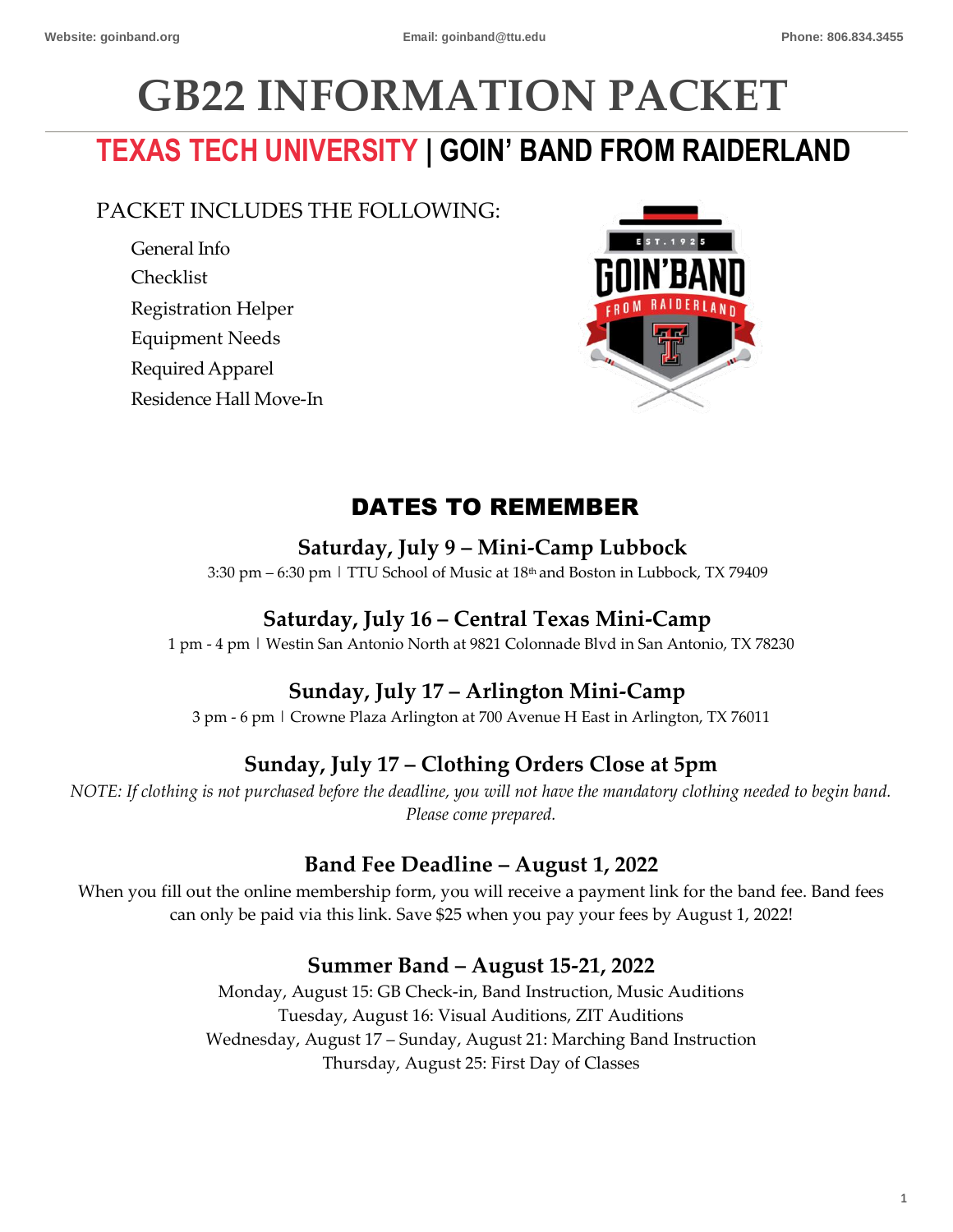# **GB22 INFORMATION PACKET**

# **TEXAS TECH UNIVERSITY | GOIN' BAND FROM RAIDERLAND**

# PACKET INCLUDES THE FOLLOWING:

General Info Checklist Registration Helper Equipment Needs RequiredApparel Residence Hall Move-In



# DATES TO REMEMBER

# **Saturday, July 9 – Mini-Camp Lubbock**

3:30 pm – 6:30 pm | TTU School of Music at 18th and Boston in Lubbock, TX 79409

# **Saturday, July 16 – Central Texas Mini-Camp**

1 pm - 4 pm | Westin San Antonio North at 9821 Colonnade Blvd in San Antonio, TX 78230

# **Sunday, July 17 – Arlington Mini-Camp**

3 pm - 6 pm | Crowne Plaza Arlington at 700 Avenue H East in Arlington, TX 76011

# **Sunday, July 17 – Clothing Orders Close at 5pm**

*NOTE: If clothing is not purchased before the deadline, you will not have the mandatory clothing needed to begin band. Please come prepared.* 

# **Band Fee Deadline – August 1, 2022**

When you fill out the online membership form, you will receive a payment link for the band fee. Band fees can only be paid via this link. Save \$25 when you pay your fees by August 1, 2022!

# **Summer Band – August 15-21, 2022**

Monday, August 15: GB Check-in, Band Instruction, Music Auditions Tuesday, August 16: Visual Auditions, ZIT Auditions Wednesday, August 17 – Sunday, August 21: Marching Band Instruction Thursday, August 25: First Day of Classes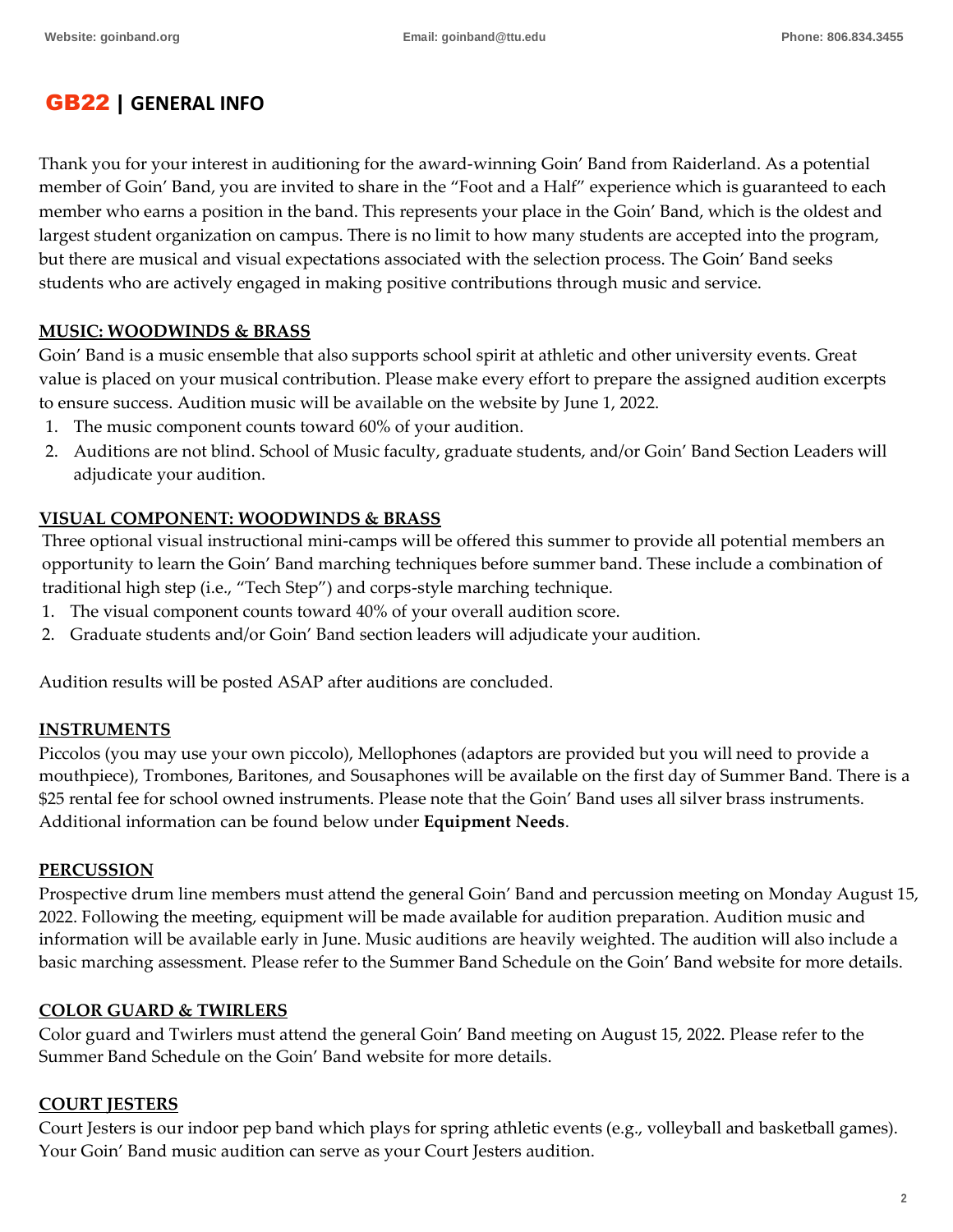# GB22 | **GENERAL INFO**

Thank you for your interest in auditioning for the award-winning Goin' Band from Raiderland. As a potential member of Goin' Band, you are invited to share in the "Foot and a Half" experience which is guaranteed to each member who earns a position in the band. This represents your place in the Goin' Band, which is the oldest and largest student organization on campus. There is no limit to how many students are accepted into the program, but there are musical and visual expectations associated with the selection process. The Goin' Band seeks students who are actively engaged in making positive contributions through music and service.

#### **MUSIC: WOODWINDS & BRASS**

Goin' Band is a music ensemble that also supports school spirit at athletic and other university events. Great value is placed on your musical contribution. Please make every effort to prepare the assigned audition excerpts to ensure success. Audition music will be available on the website by June 1, 2022.

- 1. The music component counts toward 60% of your audition.
- 2. Auditions are not blind. School of Music faculty, graduate students, and/or Goin' Band Section Leaders will adjudicate your audition.

#### **VISUAL COMPONENT: WOODWINDS & BRASS**

Three optional visual instructional mini-camps will be offered this summer to provide all potential members an opportunity to learn the Goin' Band marching techniques before summer band. These include a combination of traditional high step (i.e., "Tech Step") and corps-style marching technique.

- 1. The visual component counts toward 40% of your overall audition score.
- 2. Graduate students and/or Goin' Band section leaders will adjudicate your audition.

Audition results will be posted ASAP after auditions are concluded.

#### **INSTRUMENTS**

Piccolos (you may use your own piccolo), Mellophones (adaptors are provided but you will need to provide a mouthpiece), Trombones, Baritones, and Sousaphones will be available on the first day of Summer Band. There is a \$25 rental fee for school owned instruments. Please note that the Goin' Band uses all silver brass instruments. Additional information can be found below under **Equipment Needs**.

#### **PERCUSSION**

Prospective drum line members must attend the general Goin' Band and percussion meeting on Monday August 15, 2022. Following the meeting, equipment will be made available for audition preparation. Audition music and information will be available early in June. Music auditions are heavily weighted. The audition will also include a basic marching assessment. Please refer to the Summer Band Schedule on the Goin' Band website for more details.

#### **COLOR GUARD & TWIRLERS**

Color guard and Twirlers must attend the general Goin' Band meeting on August 15, 2022. Please refer to the Summer Band Schedule on the Goin' Band website for more details.

#### **COURT JESTERS**

Court Jesters is our indoor pep band which plays for spring athletic events (e.g., volleyball and basketball games). Your Goin' Band music audition can serve as your Court Jesters audition.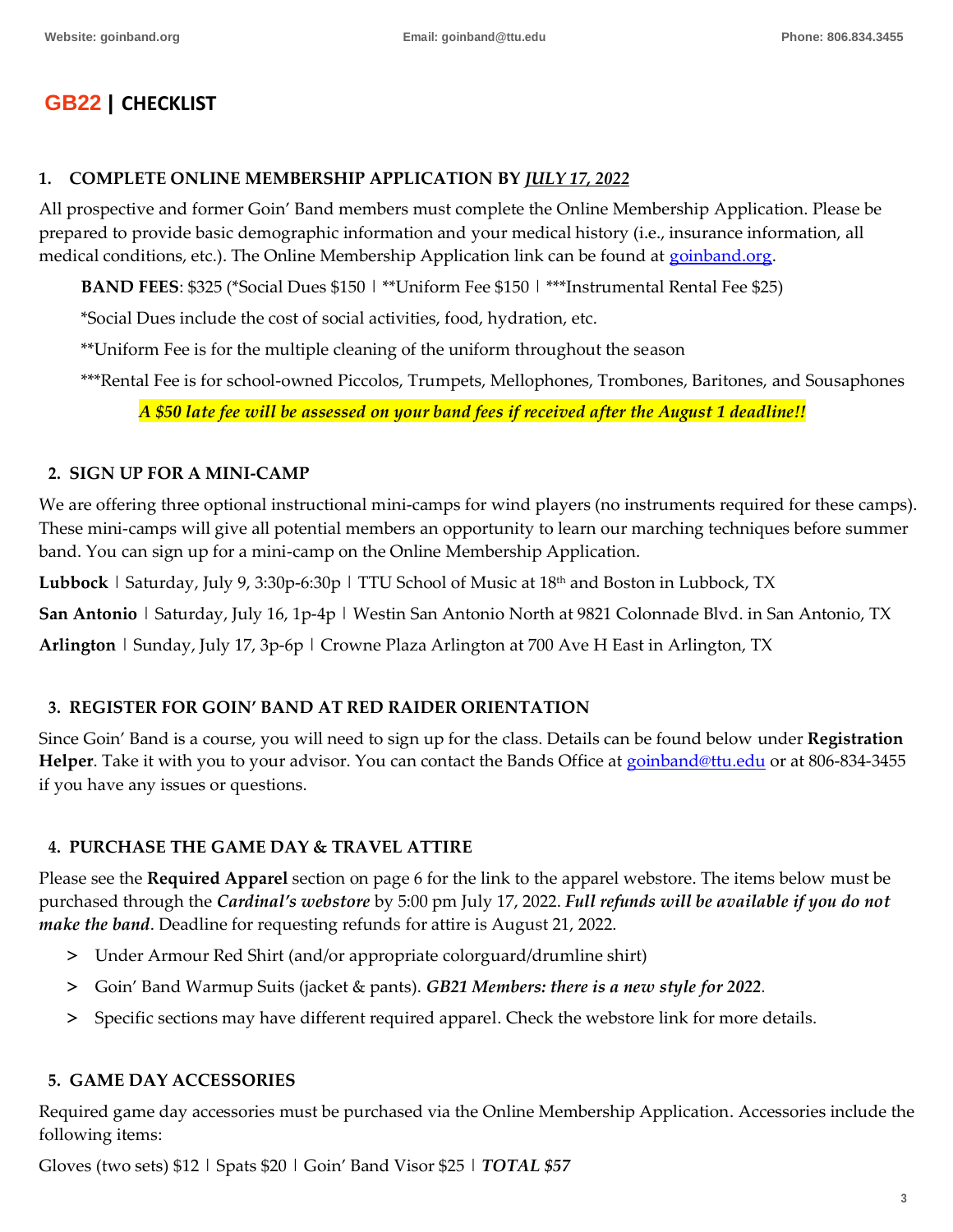# **GB22** | **CHECKLIST**

#### **1. COMPLETE ONLINE MEMBERSHIP APPLICATION BY** *JULY 17, 2022*

All prospective and former Goin' Band members must complete the Online Membership Application. Please be prepared to provide basic demographic information and your medical history (i.e., insurance information, all medical conditions, etc.). The Online Membership Application link can be found at [goinband.org.](http://www.goinband.org/)

**BAND FEES**: \$325 (\*Social Dues \$150 | \*\*Uniform Fee \$150 | \*\*\*Instrumental Rental Fee \$25)

\*Social Dues include the cost of social activities, food, hydration, etc.

\*\*Uniform Fee is for the multiple cleaning of the uniform throughout the season

\*\*\*Rental Fee is for school-owned Piccolos, Trumpets, Mellophones, Trombones, Baritones, and Sousaphones

*A \$50 late fee will be assessed on your band fees if received after the August 1 deadline!!*

#### **2. SIGN UP FOR A MINI-CAMP**

We are offering three optional instructional mini-camps for wind players (no instruments required for these camps). These mini-camps will give all potential members an opportunity to learn our marching techniques before summer band. You can sign up for a mini-camp on the Online Membership Application.

**Lubbock** | Saturday, July 9, 3:30p-6:30p | TTU School of Music at 18<sup>th</sup> and Boston in Lubbock, TX

**San Antonio** | Saturday, July 16, 1p-4p | Westin San Antonio North at 9821 Colonnade Blvd. in San Antonio, TX

**Arlington** | Sunday, July 17, 3p-6p | Crowne Plaza Arlington at 700 Ave H East in Arlington, TX

#### **3. REGISTER FOR GOIN' BAND AT RED RAIDER ORIENTATION**

Since Goin' Band is a course, you will need to sign up for the class. Details can be found below under **Registration Helper**. Take it with you to your advisor. You can contact the Bands Office at [goinband@ttu.edu](mailto:goinband@ttu.edu) or at 806-834-3455 if you have any issues or questions.

#### **4. PURCHASE THE GAME DAY & TRAVEL ATTIRE**

Please see the **Required Apparel** section on page 6 for the link to the apparel webstore. The items below must be purchased through the *Cardinal's webstore* by 5:00 pm July 17, 2022. *Full refunds will be available if you do not make the band*. Deadline for requesting refunds for attire is August 21, 2022.

- > Under Armour Red Shirt (and/or appropriate colorguard/drumline shirt)
- > Goin' Band Warmup Suits (jacket & pants). *GB21 Members: there is a new style for 2022.*
- > Specific sections may have different required apparel. Check the webstore link for more details.

#### **5. GAME DAY ACCESSORIES**

Required game day accessories must be purchased via the Online Membership Application. Accessories include the following items:

Gloves (two sets) \$12 | Spats \$20 | Goin' Band Visor \$25 | *TOTAL \$57*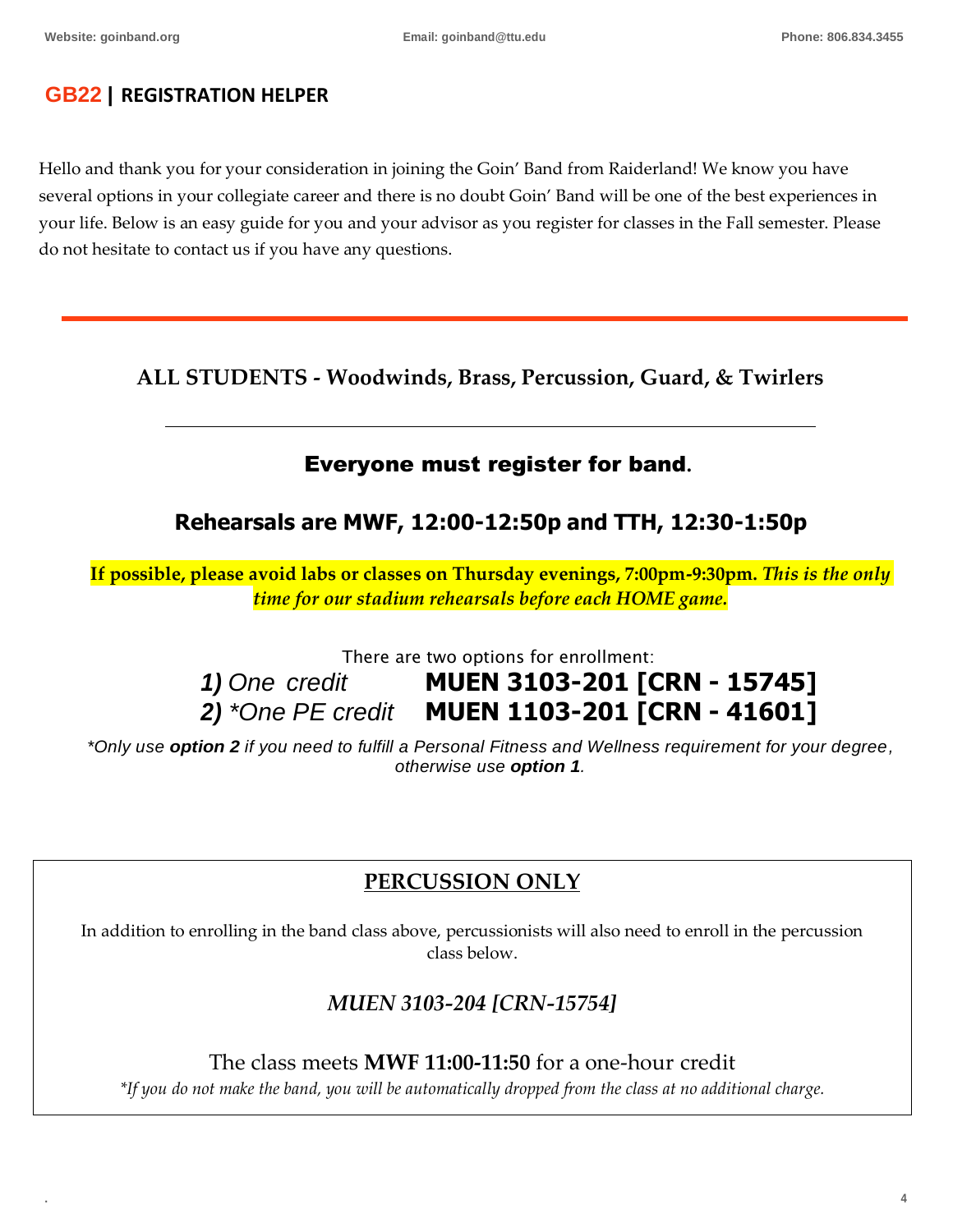# **GB22** | **REGISTRATION HELPER**

Hello and thank you for your consideration in joining the Goin' Band from Raiderland! We know you have several options in your collegiate career and there is no doubt Goin' Band will be one of the best experiences in your life. Below is an easy guide for you and your advisor as you register for classes in the Fall semester. Please do not hesitate to contact us if you have any questions.

**ALL STUDENTS - Woodwinds, Brass, Percussion, Guard, & Twirlers**

# Everyone must register for band**.**

# **Rehearsals are MWF, 12:00-12:50p and TTH, 12:30-1:50p**

**If possible, please avoid labs or classes on Thursday evenings, 7:00pm-9:30pm.** *This is the only time for our stadium rehearsals before each HOME game.*

There are two options for enrollment:

*1) One credit* **MUEN 3103-201 [CRN - 15745]** *2) \*One PE credit* **MUEN 1103-201 [CRN - 41601]**

*\*Only use option 2 if you need to fulfill a Personal Fitness and Wellness requirement for your degree, otherwise use option 1.*

# **PERCUSSION ONLY**

In addition to enrolling in the band class above, percussionists will also need to enroll in the percussion class below.

*MUEN 3103-204 [CRN-15754]*

The class meets **MWF 11:00-11:50** for a one-hour credit

*\*If you do not make the band, you will be automatically dropped from the class at no additional charge.*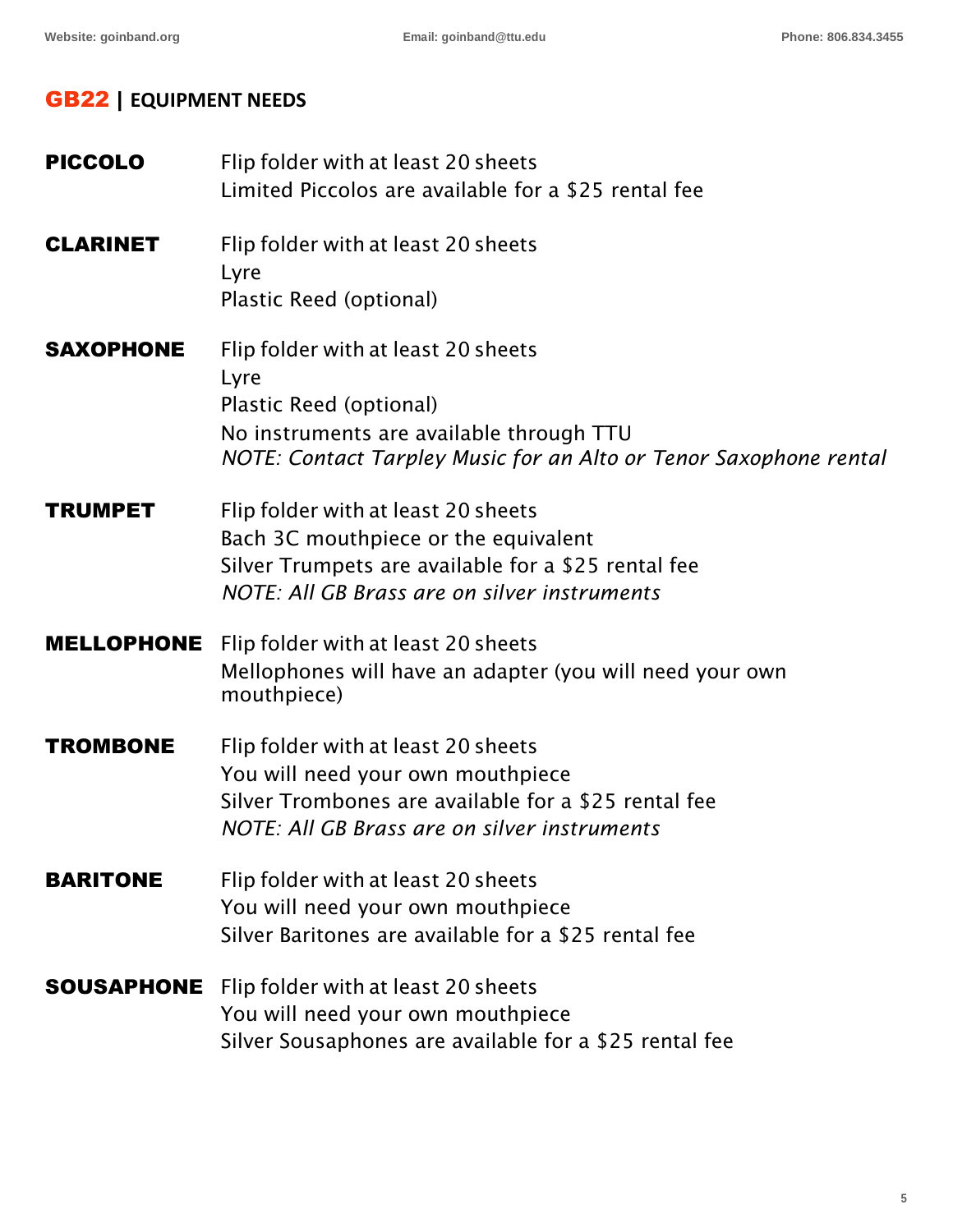# GB22 | **EQUIPMENT NEEDS**

| <b>PICCOLO</b>    | Flip folder with at least 20 sheets<br>Limited Piccolos are available for a \$25 rental fee                                                                                             |
|-------------------|-----------------------------------------------------------------------------------------------------------------------------------------------------------------------------------------|
| <b>CLARINET</b>   | Flip folder with at least 20 sheets<br>Lyre<br>Plastic Reed (optional)                                                                                                                  |
| <b>SAXOPHONE</b>  | Flip folder with at least 20 sheets<br>Lyre<br>Plastic Reed (optional)<br>No instruments are available through TTU<br>NOTE: Contact Tarpley Music for an Alto or Tenor Saxophone rental |
| <b>TRUMPET</b>    | Flip folder with at least 20 sheets<br>Bach 3C mouthpiece or the equivalent<br>Silver Trumpets are available for a \$25 rental fee<br>NOTE: All GB Brass are on silver instruments      |
| <b>MELLOPHONE</b> | Flip folder with at least 20 sheets<br>Mellophones will have an adapter (you will need your own<br>mouthpiece)                                                                          |
| <b>TROMBONE</b>   | Flip folder with at least 20 sheets<br>You will need your own mouthpiece<br>Silver Trombones are available for a \$25 rental fee<br>NOTE: All GB Brass are on silver instruments        |
| <b>BARITONE</b>   | Flip folder with at least 20 sheets<br>You will need your own mouthpiece<br>Silver Baritones are available for a \$25 rental fee                                                        |
| SOUSAPHONE        | Flip folder with at least 20 sheets<br>You will need your own mouthpiece<br>Silver Sousaphones are available for a \$25 rental fee                                                      |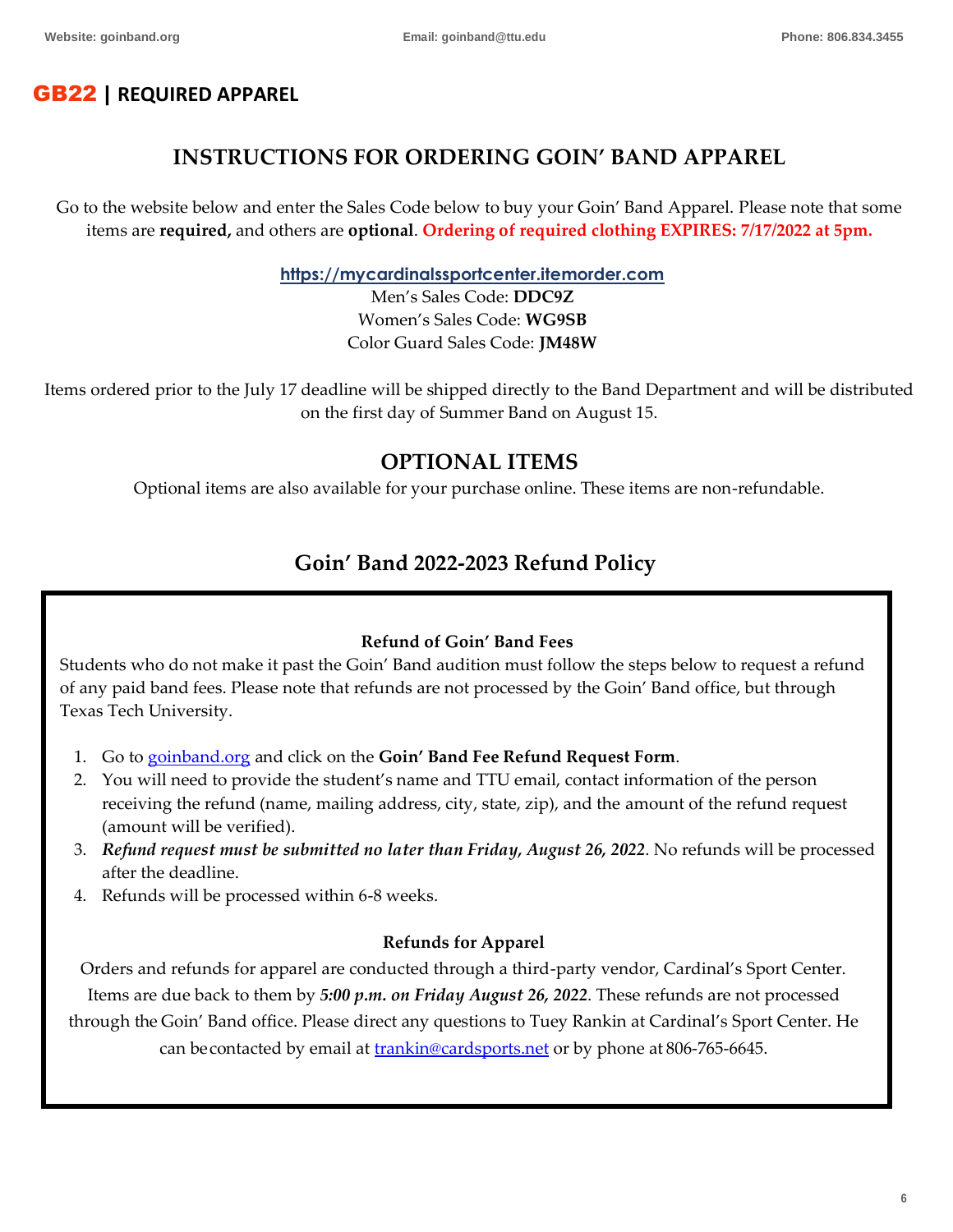# GB22 | **REQUIRED APPAREL**

# **INSTRUCTIONS FOR ORDERING GOIN' BAND APPAREL**

Go to the website below and enter the Sales Code below to buy your Goin' Band Apparel. Please note that some items are **required,** and others are **optional**. **Ordering of required clothing EXPIRES: 7/17/2022 at 5pm.**

**[https://mycardinalssportcenter.itemorder.com](https://nam04.safelinks.protection.outlook.com/?url=https%3A%2F%2Fmycardinalssportcenter.itemorder.com%2F&data=04%7C01%7CJoel.Pagan%40ttu.edu%7C2ef654662cc441e5083d08d90e66ebb8%7C178a51bf8b2049ffb65556245d5c173c%7C0%7C0%7C637556657463649216%7CUnknown%7CTWFpbGZsb3d8eyJWIjoiMC4wLjAwMDAiLCJQIjoiV2luMzIiLCJBTiI6Ik1haWwiLCJXVCI6Mn0%3D%7C1000&sdata=QtF9SFkIpEA4iWKI6XE1gNX2c7B6NcoUaxfxyeJnYP4%3D&reserved=0)**

Men's Sales Code: **DDC9Z** Women's Sales Code: **WG9SB** Color Guard Sales Code: **JM48W**

Items ordered prior to the July 17 deadline will be shipped directly to the Band Department and will be distributed on the first day of Summer Band on August 15.

# **OPTIONAL ITEMS**

Optional items are also available for your purchase online. These items are non-refundable.

# **Goin' Band 2022-2023 Refund Policy**

#### **Refund of Goin' Band Fees**

Students who do not make it past the Goin' Band audition must follow the steps below to request a refund of any paid band fees. Please note that refunds are not processed by the Goin' Band office, but through Texas Tech University.

- 1. Go to [goinband.org](http://www.goinband.org/) and click on the **Goin' Band Fee Refund Request Form**.
- 2. You will need to provide the student's name and TTU email, contact information of the person receiving the refund (name, mailing address, city, state, zip), and the amount of the refund request (amount will be verified).
- 3. *Refund request must be submitted no later than Friday, August 26, 2022*. No refunds will be processed after the deadline.
- 4. Refunds will be processed within 6-8 weeks.

#### **Refunds for Apparel**

Orders and refunds for apparel are conducted through a third-party vendor, Cardinal's Sport Center. Items are due back to them by *5:00 p.m. on Friday August 26, 2022*. These refunds are not processed through the Goin' Band office. Please direct any questions to Tuey Rankin at Cardinal's Sport Center. He

can becontacted by email at **trankin@cardsports.net** or by phone at 806-765-6645.